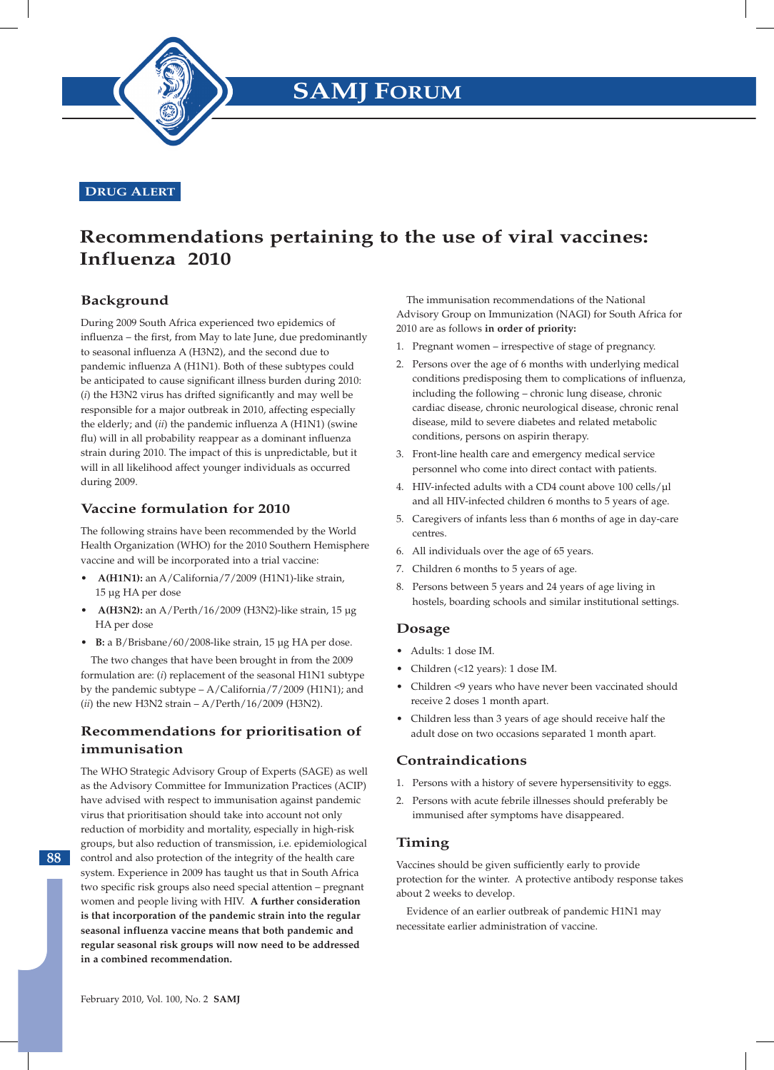

### **DRUG ALERT**

# **Recommendations pertaining to the use of viral vaccines: Influenza 2010**

# **Background**

During 2009 South Africa experienced two epidemics of influenza – the first, from May to late June, due predominantly to seasonal influenza A (H3N2), and the second due to pandemic influenza A (H1N1). Both of these subtypes could be anticipated to cause significant illness burden during 2010: (*i*) the H3N2 virus has drifted significantly and may well be responsible for a major outbreak in 2010, affecting especially the elderly; and (*ii*) the pandemic influenza A (H1N1) (swine flu) will in all probability reappear as a dominant influenza strain during 2010. The impact of this is unpredictable, but it will in all likelihood affect younger individuals as occurred during 2009.

## **Vaccine formulation for 2010**

The following strains have been recommended by the World Health Organization (WHO) for the 2010 Southern Hemisphere vaccine and will be incorporated into a trial vaccine:

- **• A(H1N1):** an A/California/7/2009 (H1N1)-like strain, 15 µg HA per dose
- **• A(H3N2):** an A/Perth/16/2009 (H3N2)-like strain, 15 µg HA per dose
- **• B:** a B/Brisbane/60/2008-like strain, 15 µg HA per dose.

The two changes that have been brought in from the 2009 formulation are: (*i*) replacement of the seasonal H1N1 subtype by the pandemic subtype – A/California/7/2009 (H1N1); and (*ii*) the new H3N2 strain – A/Perth/16/2009 (H3N2).

# **Recommendations for prioritisation of immunisation**

The WHO Strategic Advisory Group of Experts (SAGE) as well as the Advisory Committee for Immunization Practices (ACIP) have advised with respect to immunisation against pandemic virus that prioritisation should take into account not only reduction of morbidity and mortality, especially in high-risk groups, but also reduction of transmission, i.e. epidemiological control and also protection of the integrity of the health care system. Experience in 2009 has taught us that in South Africa two specific risk groups also need special attention – pregnant women and people living with HIV. **A further consideration is that incorporation of the pandemic strain into the regular seasonal influenza vaccine means that both pandemic and regular seasonal risk groups will now need to be addressed in a combined recommendation.**

The immunisation recommendations of the National Advisory Group on Immunization (NAGI) for South Africa for 2010 are as follows **in order of priority:**

- 1. Pregnant women irrespective of stage of pregnancy.
- 2. Persons over the age of 6 months with underlying medical conditions predisposing them to complications of influenza, including the following – chronic lung disease, chronic cardiac disease, chronic neurological disease, chronic renal disease, mild to severe diabetes and related metabolic conditions, persons on aspirin therapy.
- 3. Front-line health care and emergency medical service personnel who come into direct contact with patients.
- 4. HIV-infected adults with a CD4 count above 100 cells/µl and all HIV-infected children 6 months to 5 years of age.
- 5. Caregivers of infants less than 6 months of age in day-care centres.
- 6. All individuals over the age of 65 years.
- 7. Children 6 months to 5 years of age.
- 8. Persons between 5 years and 24 years of age living in hostels, boarding schools and similar institutional settings.

### **Dosage**

- Adults: 1 dose IM.
- Children (<12 years): 1 dose IM.
- Children <9 years who have never been vaccinated should receive 2 doses 1 month apart.
- Children less than 3 years of age should receive half the adult dose on two occasions separated 1 month apart.

### **Contraindications**

- 1. Persons with a history of severe hypersensitivity to eggs.
- 2. Persons with acute febrile illnesses should preferably be immunised after symptoms have disappeared.

### **Timing**

Vaccines should be given sufficiently early to provide protection for the winter. A protective antibody response takes about 2 weeks to develop.

Evidence of an earlier outbreak of pandemic H1N1 may necessitate earlier administration of vaccine.

**88**